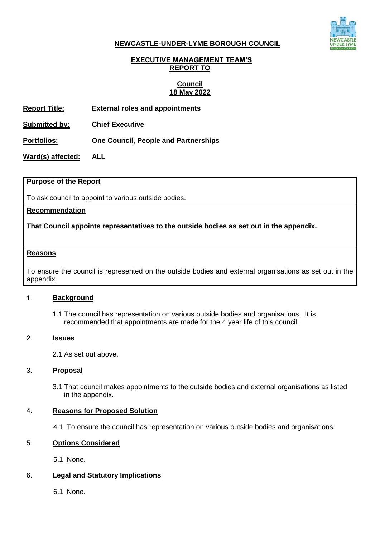

### **NEWCASTLE-UNDER-LYME BOROUGH COUNCIL**

## **EXECUTIVE MANAGEMENT TEAM'S REPORT TO**

## **Council 18 May 2022**

**Report Title: External roles and appointments** 

**Submitted by: Chief Executive**

**Portfolios: One Council, People and Partnerships**

**Ward(s) affected: ALL**

### **Purpose of the Report**

To ask council to appoint to various outside bodies.

### **Recommendation**

## **That Council appoints representatives to the outside bodies as set out in the appendix.**

#### **Reasons**

To ensure the council is represented on the outside bodies and external organisations as set out in the appendix.

#### 1. **Background**

1.1 The council has representation on various outside bodies and organisations. It is recommended that appointments are made for the 4 year life of this council.

#### 2. **Issues**

2.1 As set out above.

#### 3. **Proposal**

3.1 That council makes appointments to the outside bodies and external organisations as listed in the appendix.

## 4. **Reasons for Proposed Solution**

4.1 To ensure the council has representation on various outside bodies and organisations.

#### 5. **Options Considered**

5.1 None.

## 6. **Legal and Statutory Implications**

6.1 None.